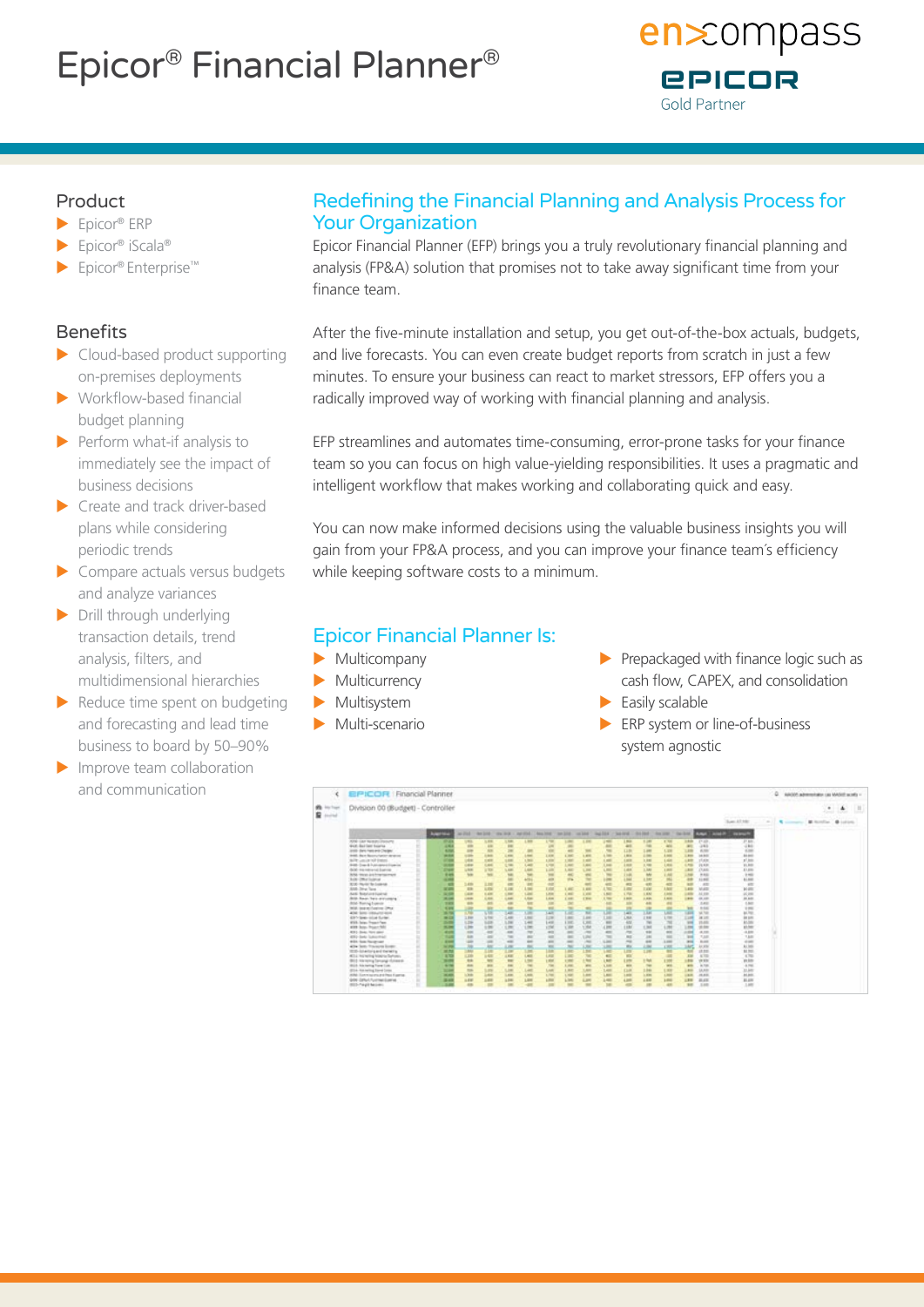# Epicor® Financial Planner®



## Product

- $\blacktriangleright$  Epicor® ERP
- ▶ Epicor® iScala®
- ▶ Epicor® Enterprise™

## Benefits

- $\blacktriangleright$  Cloud-based product supporting on-premises deployments
- $\blacktriangleright$  Workflow-based financial budget planning
- $\blacktriangleright$  Perform what-if analysis to immediately see the impact of business decisions
- $\blacktriangleright$  Create and track driver-based plans while considering periodic trends
- $\triangleright$  Compare actuals versus budgets and analyze variances
- $\blacktriangleright$  Drill through underlying transaction details, trend analysis, filters, and multidimensional hierarchies
- $\blacktriangleright$  Reduce time spent on budgeting and forecasting and lead time business to board by 50–90%
- $\blacktriangleright$  Improve team collaboration and communication

# Redefining the Financial Planning and Analysis Process for Your Organization

Epicor Financial Planner (EFP) brings you a truly revolutionary financial planning and analysis (FP&A) solution that promises not to take away significant time from your finance team.

After the five-minute installation and setup, you get out-of-the-box actuals, budgets, and live forecasts. You can even create budget reports from scratch in just a few minutes. To ensure your business can react to market stressors, EFP offers you a radically improved way of working with financial planning and analysis.

EFP streamlines and automates time-consuming, error-prone tasks for your finance team so you can focus on high value-yielding responsibilities. It uses a pragmatic and intelligent workflow that makes working and collaborating quick and easy.

You can now make informed decisions using the valuable business insights you will gain from your FP&A process, and you can improve your finance team´s efficiency while keeping software costs to a minimum.

# Epicor Financial Planner Is:

- $\blacktriangleright$  Multicompany
- $\blacktriangleright$  Multicurrency
- $\blacktriangleright$  Multisystem
- $\blacktriangleright$  Multi-scenario
- $\blacktriangleright$  Prepackaged with finance logic such as cash flow, CAPEX, and consolidation
- $\blacktriangleright$  Easily scalable
- $\blacktriangleright$  ERP system or line-of-business system agnostic

|                               | EPICOR   Financial Planner             |  |                |                |                |                                                                                |                |                |                          |               |              |                |                |                          |                          |                    |                                           |                                                                                                | C askid administrate MASE with - |                           |  |  |
|-------------------------------|----------------------------------------|--|----------------|----------------|----------------|--------------------------------------------------------------------------------|----------------|----------------|--------------------------|---------------|--------------|----------------|----------------|--------------------------|--------------------------|--------------------|-------------------------------------------|------------------------------------------------------------------------------------------------|----------------------------------|---------------------------|--|--|
| ×<br><b>B</b> Inches<br>R and | Division 00 (Budget) - Controller      |  |                |                |                |                                                                                |                |                |                          |               |              |                |                |                          |                          |                    | $\blacksquare$                            | ۰<br>Allegal Commit-                                                                           | DE.<br><b>START</b>              |                           |  |  |
|                               |                                        |  |                |                |                |                                                                                |                |                |                          |               |              |                |                |                          |                          |                    | San 47,180                                | $\frac{1}{2} \left( \frac{1}{2} \right) \left( \frac{1}{2} \right) \left( \frac{1}{2} \right)$ | <b>Representative</b>            | B furniture. 40 publishes |  |  |
|                               |                                        |  | <b>August</b>  | an make        |                | the lost " marked a second " healther," second " realther " healther  the lost |                |                |                          |               |              |                |                |                          |                          |                    | An our 7 decised a new private in provide |                                                                                                |                                  |                           |  |  |
|                               | ATE LEFTER FOR FILE                    |  |                | ym             | <b>LES</b>     | <b>SH</b>                                                                      | <b>COM</b>     |                |                          |               |              | m              | π              | 1.700                    | 14.00                    | 17.67              | 27.8/6                                    |                                                                                                |                                  |                           |  |  |
|                               | double displations: Asserting          |  | 4.44           | m              | 446            | m                                                                              |                | m              | $\equiv$                 |               |              | 4H             |                | ALC:                     | an)                      | $-241$             | $+10$                                     |                                                                                                |                                  |                           |  |  |
|                               | AND Date from and Cheder               |  | 4.74           | <b>SH</b>      | m              | 240                                                                            | $\overline{a}$ | m              | 4H)                      | <b>SHE</b>    | $\equiv$     | 1270           | 148            | LIN                      | œ                        | 4,740              | <b>SCHOOL</b>                             |                                                                                                |                                  |                           |  |  |
|                               | lenth, there Necesarianter dentered    |  | <b>WARREN</b>  | <b>Sales</b>   | <b>Like</b>    | Lear                                                                           | Learn          | <b>LIFE</b>    | L.ME                     | Limit         | 4.346        | <b>Links</b>   | p.m.           | A most                   | Lam                      | <b>John</b>        | \$5.000                                   |                                                                                                |                                  |                           |  |  |
|                               | Wille Law at 100 End of                |  | -              | in             | <b>STATE</b>   | <b>SAM</b>                                                                     | 1,966          | <b>A STOR</b>  | 3. Mid-                  | <b>Light</b>  | $1 - 1$      | <b>Latin</b>   | 16.0001        | 1,400                    | 1,419                    | yh atter           | 17.348                                    |                                                                                                |                                  |                           |  |  |
|                               | \$40. Tran & Transport Experies        |  | -              | isis           | <b>SURFER</b>  | <b>COL</b>                                                                     | Latt           | <b>ATM</b>     | Lister                   | <b>Lake</b>   | 5,646        | <b>Local</b>   | 1.188          | 1.0046                   | 1,710                    | <b>F&amp; ROOT</b> | 31,800                                    |                                                                                                |                                  |                           |  |  |
|                               | dated - trip restries ned dispersion   |  | $-100$         | Little of      | irto.          | <b>SAM</b>                                                                     | <b>AR</b>      | 1.4M           | L.KID                    | L.H           | <b>LESS</b>  | Lex            | 1.km           | <b>Lake</b>              | <b>LESS</b>              | 13.846             | 31,690                                    |                                                                                                |                                  |                           |  |  |
|                               | <b>Brita</b> , Incan and Freehalterson |  | <b>Diff</b>    | <b>SH</b>      | <b>SH</b>      | <b>SH</b>                                                                      | m              | $rac{1}{2}$    | $\pm$                    | m             | $\equiv$     | i va           | M              | 1,440                    | Links                    | <b>HALL</b>        | $+40$                                     |                                                                                                |                                  |                           |  |  |
|                               | <b>Bulk Distribution</b>               |  |                |                |                | m                                                                              | Arm L          | s              | m                        | ٠             | m            | m              | a key          | m                        | <b>AND</b>               | 11,840             | \$1,800                                   |                                                                                                |                                  |                           |  |  |
|                               | 3200 Florida Sta Lucarean              |  |                | 3,416          | 1.10           | <b>in</b>                                                                      | <b>SE</b>      | -en            |                          | ÷             | <b>ART</b>   | <b>ATT</b>     | 480            | $-$                      | <b>AB</b>                | $-0.01$            | 450                                       |                                                                                                |                                  |                           |  |  |
|                               | And Jone Term                          |  | <b>SCALE</b>   | <b>STA</b>     | <b>LEW</b>     | <b>Lim</b>                                                                     | 3,044          | 1,710          | 1,600                    | 1,444         | 4.762        | $1 - 1$        | <b>EXHI</b>    | Alex                     | 1,418                    | MARIE              | <b>Well</b>                               |                                                                                                |                                  |                           |  |  |
|                               | Arti footunitatral                     |  | <b>MORE</b>    | <b>Gallery</b> | <b>LES</b>     | $-$                                                                            | <b>Limit</b>   | LINK           | <b>Limit</b>             | <b>Links</b>  | <b>CALL</b>  | 1,746          | 1.880          | A Britt                  | $-11$                    | Ad John            | 30.000                                    |                                                                                                |                                  |                           |  |  |
|                               | detail four-field annuality            |  | <b>HOME</b>    | <b>CALLS</b>   | <b>SURFACE</b> | i suo                                                                          | <b>Chair</b>   | <b>Local</b>   | <b>START</b>             | <b>ETRIAL</b> | $x =$        | 1,800          | 1.846          | 1,600                    | <b>STAR</b>              | 49.140             | <b>ALAND</b>                              |                                                                                                |                                  |                           |  |  |
|                               | drink-Therman Experience               |  | <b>HE</b>      | <b>ARR</b>     | <b>AS</b>      | $\leftarrow$                                                                   | m              | m              | w                        |               |              |                | 44             | m                        |                          | 3.410              | 1,60                                      |                                                                                                |                                  |                           |  |  |
|                               | With bedrie-Tusines DRug               |  | <b>King</b>    |                | $\frac{1}{2}$  | 显                                                                              |                | đ              | đ                        |               |              |                | e              |                          | <b>Service</b>           | <b>HARA</b>        | $+ 0.001$                                 |                                                                                                |                                  |                           |  |  |
|                               | and late creature and                  |  | <b>With</b>    | n.             |                |                                                                                | <b>Car</b>     |                |                          | 즶             | œ            | m              |                | Links.                   | m                        | at his             | actor.                                    |                                                                                                |                                  |                           |  |  |
|                               | 431-Sep-Mint Syler                     |  | 36.00          | 1,998          | 3.766          | 148                                                                            | <b>LINE</b>    | 128            | 1.840                    | 1,440         | œ            | <b>CRA</b>     | 118            | 170                      | 118                      | 34.141             | <b>SEATE</b>                              |                                                                                                |                                  |                           |  |  |
|                               | <b>With Jane: Fresco Fax</b>           |  | œ              | 1,24           | <b>VAN</b>     | LEW                                                                            | 140            | $1 - 48$       | L'AVE                    | List          | <b>WE</b>    | $\overline{a}$ | $\overline{1}$ | $\overline{\phantom{a}}$ | m                        | <b>VA AVE</b>      | ALCOHOL:                                  |                                                                                                |                                  |                           |  |  |
|                               | also has been hit                      |  | <b>ALCOHOL</b> | œ              | 100            | U <sub>2</sub>                                                                 | m              | <b>COM</b>     | 1.34                     | 1,04          | 4300         | <b>IR</b>      | 1,940          | 1,093                    | m                        | $-26.659$          | at her                                    |                                                                                                |                                  |                           |  |  |
|                               | 419-1-Dealer Story states              |  | 49.99          | $\frac{1}{2}$  | $\rightarrow$  | 48                                                                             | $\sim$         | $\rightarrow$  | ×                        | $\sim$        | $-$          | $-$            | m              | m                        | $-100$                   | 4.191              | $-3.378$                                  |                                                                                                |                                  |                           |  |  |
|                               | 450 Sele Substitute                    |  | m              | <b>Add</b>     | $\sim$         | Table                                                                          | m              | $\rightarrow$  | ×                        | LIN           | $\sim$       | m              | m              | m                        | $\overline{\phantom{a}}$ | 7,187              | 1.km                                      |                                                                                                |                                  |                           |  |  |
|                               | Willis, State Houstonsser              |  | <b>COMPANY</b> | ÷              | -              | $\rightarrow$                                                                  | -              |                | $\overline{\phantom{a}}$ | $\sim$        | $-200$       | $\rightarrow$  | 48             | 1.444                    | $\sim$                   | <b>Builder</b>     | st sea                                    |                                                                                                |                                  |                           |  |  |
|                               | 404 last frances losts                 |  | <b>MARK</b>    |                | ×              | <b>CHE</b>                                                                     |                | $\overline{1}$ | ×                        | Link          | ×            | m              | m              | <b>CRE</b>               | m                        | Art sinks          | ALMA                                      |                                                                                                |                                  |                           |  |  |
|                               | 1010-Schedung and thereing             |  | at his         | m              | 114            | Lin                                                                            | <b>Links</b>   | m              | <b>Lake</b>              | Eм            | ×            | m              | 1,346          | m                        | $\frac{1}{2}$            | 进加                 | \$1,702                                   |                                                                                                |                                  |                           |  |  |
|                               | All a homeled brains factory.          |  | <b>KTD</b>     | <b>COR</b>     | <b>DATE</b>    | <b>LKW</b>                                                                     | <b>Legal</b>   | LAW            | L'and                    | $^{36}$       | $\leftarrow$ | <b>Kill</b>    |                | ×                        | 39                       | ALT FEE            | X70                                       |                                                                                                |                                  |                           |  |  |
|                               | Blick Manager Senangi dalaman          |  | $\sim$         | <b>AM</b>      | <b>ME</b>      | $\frac{1}{2}$                                                                  | <b>CHA</b>     | <b>Lake</b>    | <b>STAR</b>              | Like          | <b>Limit</b> | <b>Limit</b>   | <b>IN</b>      | <b>THE</b>               | $-144$                   | vir site           | ye kits                                   |                                                                                                |                                  |                           |  |  |
|                               | <b>Blue Manager Torontown</b>          |  | <b>STAR</b>    | <b>BM</b>      | <b>SHE</b>     | 14                                                                             | <b>THE</b>     | 79             | <b>SURRAY</b>            | <b>ARK</b>    | 3,300        | <b>ARK</b>     | $\sim$         | <b>SHE</b>               | <b>AND</b>               | is not             | 4.76                                      |                                                                                                |                                  |                           |  |  |
|                               | (\$104) Automiting Stevel Links        |  | $\sim$         | <b>NH</b>      | <b>SUM</b>     | <b>UH</b>                                                                      | <b>LANT</b>    | <b>Londo</b>   | 1,840                    | LAH           | 1.401        | <b>CLIR</b>    | 1.846          | 1,938                    | <b>AREA</b>              | LA AVE             | 33,849                                    |                                                                                                |                                  |                           |  |  |
|                               | ASA Exercise trained fresh district    |  | $-$            | <b>Link</b>    | <b>Sales</b>   | Lem.                                                                           | Links          | <b>A</b>       | Link                     | œ             | Lear         | <b>Links</b>   | <b>LEW</b>     | A.MAR                    | <b>CALLS</b>             | <b>HA AVEL</b>     | ALMK.                                     |                                                                                                |                                  |                           |  |  |
|                               | GON EXPLATIONAL Exercise               |  | 35.400         | 144            | <b>DAY</b>     | 144                                                                            | Like           | p.mar          | Links                    | <b>Limit</b>  | $+$          | 4,648          | 644            | 1 miles                  | <b>LES</b>               | ALL AND            | AL ANK                                    |                                                                                                |                                  |                           |  |  |
|                               | <b>BES-Tepli became</b>                |  | 3.88           | 43             | $\equiv$       | $\sim$                                                                         |                | m              | w                        | $\equiv$      | 100          | ÷              | $\blacksquare$ | 48                       | <b>SIE</b>               | 3.693              | 1.89                                      |                                                                                                |                                  |                           |  |  |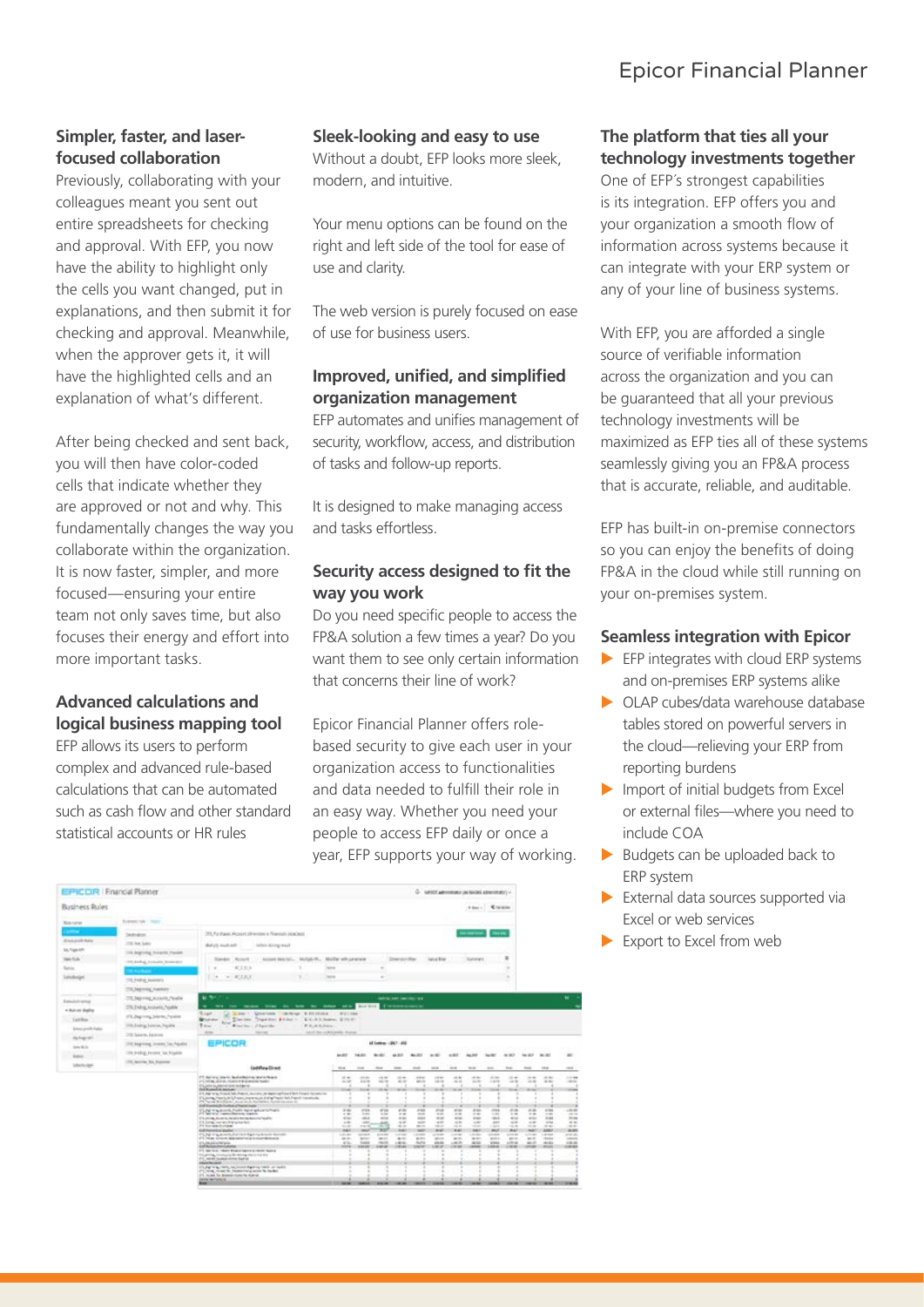# Epicor Financial Planner

#### **Simpler, faster, and laserfocused collaboration**

Previously, collaborating with your colleagues meant you sent out entire spreadsheets for checking and approval. With EFP, you now have the ability to highlight only the cells you want changed, put in explanations, and then submit it for checking and approval. Meanwhile, when the approver gets it, it will have the highlighted cells and an explanation of what's different.

After being checked and sent back, you will then have color-coded cells that indicate whether they are approved or not and why. This fundamentally changes the way you collaborate within the organization. It is now faster, simpler, and more focused—ensuring your entire team not only saves time, but also focuses their energy and effort into more important tasks.

#### **Advanced calculations and logical business mapping tool**

EFP allows its users to perform complex and advanced rule-based calculations that can be automated such as cash flow and other standard statistical accounts or HR rules

#### **Sleek-looking and easy to use**

Without a doubt, EFP looks more sleek, modern, and intuitive.

Your menu options can be found on the right and left side of the tool for ease of use and clarity.

The web version is purely focused on ease of use for business users.

#### **Improved, unified, and simplified organization management**

EFP automates and unifies management of security, workflow, access, and distribution of tasks and follow-up reports.

It is designed to make managing access and tasks effortless.

#### **Security access designed to fit the way you work**

Do you need specific people to access the FP&A solution a few times a year? Do you want them to see only certain information that concerns their line of work?

Epicor Financial Planner offers rolebased security to give each user in your organization access to functionalities and data needed to fulfill their role in an easy way. Whether you need your people to access EFP daily or once a year, EFP supports your way of working.

| EPICOR   Francial Planner                                                                                                                    |                                                                                                                                                                                                                                         |                                                                                                                                                                                                                                                                                                                                                                                                                                                                                                                                                                                                                                                                                                                                                                                                                                                                                                                                                                                                                                                                                                                                 |                                                                                                                                                                                                                      |                                                                                                                                                |                                                                                                                                                                   |                                                                                                                                                         |                                                                                                                                                              |                                                                                                                                                                                                                                             |                                                                                                                                                   |                                                                                                                                                             | G. NAME Administrator UNIMAGES Administratory -                                                                                                          |                                                                                                                                                                                |                                                                                                                                                              |                                                                                                                                   |                                                                                                                                                                            |                                                                                                                                                                               |
|----------------------------------------------------------------------------------------------------------------------------------------------|-----------------------------------------------------------------------------------------------------------------------------------------------------------------------------------------------------------------------------------------|---------------------------------------------------------------------------------------------------------------------------------------------------------------------------------------------------------------------------------------------------------------------------------------------------------------------------------------------------------------------------------------------------------------------------------------------------------------------------------------------------------------------------------------------------------------------------------------------------------------------------------------------------------------------------------------------------------------------------------------------------------------------------------------------------------------------------------------------------------------------------------------------------------------------------------------------------------------------------------------------------------------------------------------------------------------------------------------------------------------------------------|----------------------------------------------------------------------------------------------------------------------------------------------------------------------------------------------------------------------|------------------------------------------------------------------------------------------------------------------------------------------------|-------------------------------------------------------------------------------------------------------------------------------------------------------------------|---------------------------------------------------------------------------------------------------------------------------------------------------------|--------------------------------------------------------------------------------------------------------------------------------------------------------------|---------------------------------------------------------------------------------------------------------------------------------------------------------------------------------------------------------------------------------------------|---------------------------------------------------------------------------------------------------------------------------------------------------|-------------------------------------------------------------------------------------------------------------------------------------------------------------|----------------------------------------------------------------------------------------------------------------------------------------------------------|--------------------------------------------------------------------------------------------------------------------------------------------------------------------------------|--------------------------------------------------------------------------------------------------------------------------------------------------------------|-----------------------------------------------------------------------------------------------------------------------------------|----------------------------------------------------------------------------------------------------------------------------------------------------------------------------|-------------------------------------------------------------------------------------------------------------------------------------------------------------------------------|
| <b>Rusiness Rules</b>                                                                                                                        |                                                                                                                                                                                                                                         |                                                                                                                                                                                                                                                                                                                                                                                                                                                                                                                                                                                                                                                                                                                                                                                                                                                                                                                                                                                                                                                                                                                                 |                                                                                                                                                                                                                      |                                                                                                                                                |                                                                                                                                                                   |                                                                                                                                                         |                                                                                                                                                              |                                                                                                                                                                                                                                             |                                                                                                                                                   |                                                                                                                                                             |                                                                                                                                                          |                                                                                                                                                                                |                                                                                                                                                              |                                                                                                                                   |                                                                                                                                                                            |                                                                                                                                                                               |
| <b>Blues current</b>                                                                                                                         | Eugenetti Salk 1 Treaty                                                                                                                                                                                                                 |                                                                                                                                                                                                                                                                                                                                                                                                                                                                                                                                                                                                                                                                                                                                                                                                                                                                                                                                                                                                                                                                                                                                 |                                                                                                                                                                                                                      |                                                                                                                                                |                                                                                                                                                                   |                                                                                                                                                         |                                                                                                                                                              |                                                                                                                                                                                                                                             |                                                                                                                                                   |                                                                                                                                                             |                                                                                                                                                          |                                                                                                                                                                                |                                                                                                                                                              |                                                                                                                                   |                                                                                                                                                                            |                                                                                                                                                                               |
| <b>Street, posts Auto</b><br>My Trape 6/71<br><b>Tank Flutte</b><br>Tuesta<br>IstoRelad<br>Associativema<br>· Auto an inquirier<br>Listilian | Sednabin<br>17th Auto Sales<br>110 Japanese Avenue, Hawaii<br>1988 Borksal, Economist Bronzellin<br>TR Field Features<br>773 Seering Fubboy<br>70 Japone Avare, Nobe<br>(70 Exhibit Accounts, Falable)<br>ITE Degriving belows. Talkink | 39. Furtheric Acoust (Wwriters & Namish JackSei)<br>Markatik mouth such<br>Torder Noard<br>40 日 日 日<br>$W = 0.501$<br>٠<br>M. Bri<br>-<br>٠<br><b>Sign</b><br>Windows                                                                                                                                                                                                                                                                                                                                                                                                                                                                                                                                                                                                                                                                                                                                                                                                                                                                                                                                                           | Information of Longolds<br>Assistant American  Mullade W  "<br>more from the first the color and the hopping<br>a pay 1. Questions   cardway, 6 FORCES   P.C. 164<br>Davies, Toyother \$5300 - Chick's born, \$15.01 | <b>Mode whipatoe</b><br><b>Tach and</b><br><b>Tell</b> <sup>4</sup>                                                                            |                                                                                                                                                                   | $\sim$<br>$\sim$                                                                                                                                        | <b>Deandor Har</b><br><b>GREEN FOR SHEEKEEPING</b><br><b><i>S'inventionment</i></b>                                                                          |                                                                                                                                                                                                                                             | Value Mar                                                                                                                                         |                                                                                                                                                             | <b>Reserved, News</b><br>Contents                                                                                                                        |                                                                                                                                                                                | ×<br>٠<br>×                                                                                                                                                  |                                                                                                                                   |                                                                                                                                                                            | ٠                                                                                                                                                                             |
| Simulared Arts<br>In highlift<br>Striker Gill Ave<br><b>Rebist</b><br>Salterits algeb                                                        | 11th Eveling Sulation, Filcolina<br>20 Says, Janes<br>CFE Pegroveg, Incores Tax Patallet<br>THE PATHE FROM THE FIGHTS<br>1700 Motives Too Associate                                                                                     | <b>Bullion</b><br><b>Base</b><br>Witness Stevens and Wagner College<br><b>ALL AN</b><br><b>CONTRACTOR</b><br>EPICOR                                                                                                                                                                                                                                                                                                                                                                                                                                                                                                                                                                                                                                                                                                                                                                                                                                                                                                                                                                                                             | E K.-R.I. Johnson                                                                                                                                                                                                    | lated the coltabelli, Form<br><b>MARX</b>                                                                                                      | <b>THE CRA</b>                                                                                                                                                    | AT DAY 40 1972 AND<br>40.50                                                                                                                             | 44,000                                                                                                                                                       | 36.00                                                                                                                                                                                                                                       | $-10$                                                                                                                                             | $4 - 30$                                                                                                                                                    | Aug 249                                                                                                                                                  | <b>Northern</b>                                                                                                                                                                | 46,367                                                                                                                                                       | An All P                                                                                                                          | ALC:                                                                                                                                                                       | $\overline{a}$                                                                                                                                                                |
|                                                                                                                                              |                                                                                                                                                                                                                                         | <b>Gabillow Direct</b><br>ITT Norvic Intern. Bestecken to revisible are<br>415-1400 all or an interest to the selection master<br>English in Jessie Grand Bene<br><b><i>Did Kunsel to increase</i></b><br>414, dogs are as invested into of apenal, one analysis, the import confidence for 4 forcepts into commission<br>Elizaring Pennis Art LP saint interaction intring Pennis Institute Instantials.<br>PT, was \$15,500. And in A Seattle, Sell model in<br>and manifester multiple of fractor make<br>Style Carteria Politican plumbiners<br>171.00 th, North Middle Instruments faulty<br>Ch. https://www.childrightp.html<br>P1 Renter/Antast<br><b>Californization and only</b><br>ITL by any about the workpring book density<br>(FLTK) system beginning a number of a<br>ENJALISATION<br>collidations away<br>21 Write A 1981 Power New Library Press Technol<br>the print, reversive fills recognize a time into<br>611 mont clump stress but to<br>renthcome.<br>Chart is controlled and controlled and control<br>471 IVVIII, 1934 Nr. Hustin Harry small for North E.<br>215 modes for designations for fusions |                                                                                                                                                                                                                      | time.<br>$-1.4$<br><b>SIGHT</b><br>-<br>$x =$<br>$-100$<br><b>ALC</b><br>$\sim$<br>$-1$<br>man a<br>$-11.2$<br>sales.<br>$47\%$<br><b>HOME</b> | $\sim$<br>$-11.4$<br><b>SALE</b><br>--<br>of this<br>1.44<br>vina.<br><b>Labor</b><br>mand<br>m<br>$\frac{1}{2}$<br><b>ACCUS</b><br><b>During</b><br><b>SANAH</b> | <b>TELE</b><br>$-0.56$<br><b>SALES</b><br>$10 - 10$<br>4748<br>$-1$<br>sing.<br>an<br>×<br><b>Links</b><br><b>January</b><br><b>PALLS</b><br>14,842,000 | $\cdots$<br>$-10-40$<br>$= -$<br>$10 - 10$<br>e in<br>$-1$<br><b>ALCOHOL</b><br>$+1$<br>$-1$<br><b>Hutch</b><br>$-14.44$<br>ALC: U<br>190.61<br><b>DELAN</b> | <b>House</b><br>$-0.64$<br>with the<br><br>٠<br>P66<br>in an<br><b>SOLD</b><br>sales of<br>$\frac{1}{2} \left( \frac{1}{2} \right) \left( \frac{1}{2} \right) \left( \frac{1}{2} \right)$<br><b>MARK</b><br>-<br><b>BURG</b><br>Auto<br>$-$ | <b>STAR</b><br>$-0.000$<br>ARTIST<br>--<br>P18<br>$-2$<br>sink<br>$+1$<br><b>HELL</b><br>$-1$<br>and sale.<br>sens.<br>citation.<br><b>SECURE</b> | 1000<br>$-0.4$<br>$-6.4$<br><b>State</b><br>64<br>$-10.56$<br><b>AND</b><br>4.46<br>$-$<br>$-44$<br><b>COLLEGE</b><br><b>WITH</b><br>LIKER:<br><b>COLOR</b> | <b>STAR</b><br>--<br><b>SOF</b><br>--<br><b>Kill</b><br>$1 - 2$<br><b>ALL</b><br>$-10$<br>÷<br>$-0.001$<br><b>Charles</b><br>and the<br>skiller.<br>1000 | <b>Service</b><br>$11 - 44$<br><b>Land</b><br><b>HOME</b><br>$-1$<br>rent-<br>$+11$<br><b>Side</b><br><b>MAP</b><br>and stand.<br><b>MADES</b><br><b>Wilmia</b><br><b>HALL</b> | <b>FOR</b><br>$-14.46$<br><b>SAND</b><br>$-10$<br>$-10$<br>that<br>$-16$<br><b>STAR</b><br><b>MAI</b><br><b>Lister</b><br>game.<br>A children<br><b>HEAR</b> | most of<br>$\overline{a}$<br>۰<br>$-1$<br>--<br>$-20$<br>$-10.5$<br>who<br>$+ 10$<br>$-1$<br><br>$10-10$<br>se e-<br>m il<br>$-1$ | <b>HEAR</b><br>di del<br><b>SCALE</b><br>17.24<br>$-1$<br><b>Hotel</b><br>$-10$<br><b>HOME</b><br><b>AMM</b><br><b>Lake Address</b><br><b>HORA</b><br>mills<br><b>HORA</b> | <b>HEAR</b><br>11199<br>-MFR<br><b>STORY</b><br>$-0.81$<br><b>STATE</b><br><b>Hotel</b><br>$= +$<br>--<br><b>BURS</b><br>station and<br><b>CARD IN</b><br>$-0.004$<br>15,6181 |
|                                                                                                                                              |                                                                                                                                                                                                                                         | <b>Windows</b> Services<br><b>Boat</b>                                                                                                                                                                                                                                                                                                                                                                                                                                                                                                                                                                                                                                                                                                                                                                                                                                                                                                                                                                                                                                                                                          |                                                                                                                                                                                                                      |                                                                                                                                                |                                                                                                                                                                   | <b>AGE OF</b>                                                                                                                                           |                                                                                                                                                              |                                                                                                                                                                                                                                             |                                                                                                                                                   |                                                                                                                                                             |                                                                                                                                                          |                                                                                                                                                                                | <b><i><u>STAFFIELD</u></i></b>                                                                                                                               |                                                                                                                                   | $-1$                                                                                                                                                                       | --                                                                                                                                                                            |

#### **The platform that ties all your technology investments together**

One of EFP´s strongest capabilities is its integration. EFP offers you and your organization a smooth flow of information across systems because it can integrate with your ERP system or any of your line of business systems.

With EFP, you are afforded a single source of verifiable information across the organization and you can be guaranteed that all your previous technology investments will be maximized as EFP ties all of these systems seamlessly giving you an FP&A process that is accurate, reliable, and auditable.

EFP has built-in on-premise connectors so you can enjoy the benefits of doing FP&A in the cloud while still running on your on-premises system.

#### **Seamless integration with Epicor**

- $\blacktriangleright$  EFP integrates with cloud ERP systems and on-premises ERP systems alike
- $\triangleright$  OLAP cubes/data warehouse database tables stored on powerful servers in the cloud—relieving your ERP from reporting burdens
- $\blacktriangleright$  Import of initial budgets from Excel or external files—where you need to include COA
- $\blacktriangleright$  Budgets can be uploaded back to ERP system
- $\blacktriangleright$  External data sources supported via Excel or web services
- $\blacktriangleright$  Export to Excel from web